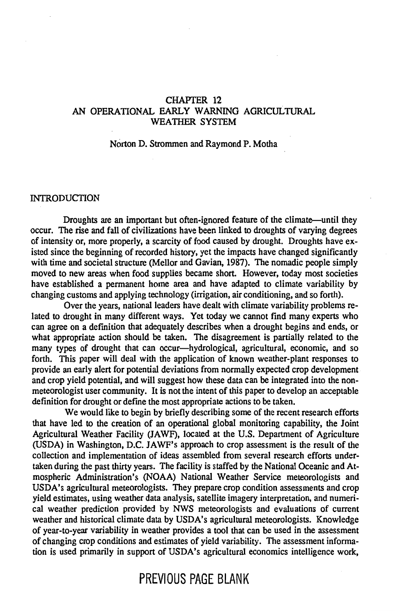## CHAPTER 12 AN OPERATIONAL EARLY WARNING AGRICULTURAL WEATHER SYSTEM

## Norton D. Strommen and Raymond P. Motha

#### INTRODUCTION

Droughts are an important but often-ignored feature of the climate—until they occur. The rise and fall of civilizations have been linked to droughts of varying degrees of intensity or, more properly, a scarcity of food caused by drought. Droughts have existed since the beginning of recorded history, yet the impacts have changed significantly with time and societal structure (Mellor and Gavian, 1987). The nomadic people simply moved to new areas when food supplies became short. However, today most societies have established a permanent home area and have adapted to climate variability by changing customs and applying technology (irrigation, air conditioning, and so forth).

Over the years, national leaders have dealt with climate variability problems related to drought in many different ways. Yet today we cannot find many experts who can agree on a defmition that adequately describes when a drought begins and ends, or what appropriate action should be taken. The disagreement is partially related to the many types of drought that can occur-hydrological, agricultural, economic, and so forth. This paper will deal with the application of known weather-plant responses to provide an early alert for potential deviations from normally expected crop development and crop yield potential, and will suggest how these data can be integrated into the nonmeteorologist user community. It is not the intent of this paper to develop an acceptable definition for drought or define the most appropriate actions to be taken.

We would like to begin by briefly describing some of the recent research efforts that have led to the creation of an operational global monitoring capability, the Joint Agricultural Weather Facility (JAWF), located at the U.S. Department of Agriculture (USDA) in Washington, D.C. JAWF's approach to crop assessment is the result of the collection and implementation of ideas assembled from several research efforts undertaken during the past thirty years. The facility is staffed by the National Oceanic and Atmospheric Administration's (NOAA) National Weather Service meteorologists and USDA's agricultural meteorologists. They prepare crop condition assessments and crop yield estimates, using weather data analysis, satellite imagery interpretation, and numerical weather prediction provided by NWS meteorologists and evaluations of current weather and historical climate data by USDA's agricultural meteorologists. Knowledge of year-to-year variability in weather provides a tool that can be used in the assessment of changing crop conditions and estimates of yield variability. The assessment information is used primarily in support of USDA's agricultural economics intelligence work,

# PREVIOUS PAGE BLANK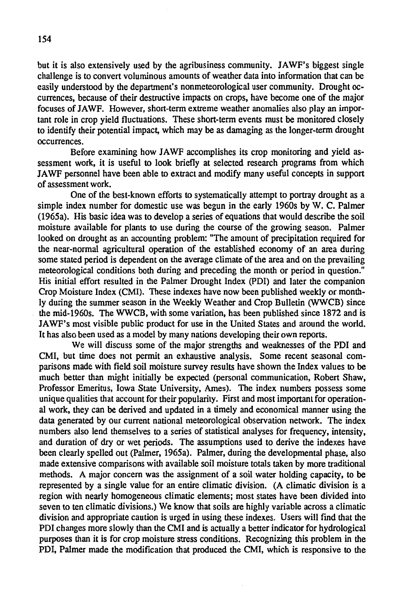but it is also extensively used by the agribusiness community. JAWF's biggest single challenge is to convert voluminous amounts of weather data into information that can be easily understood by the department's nonmeteorological user community. Drought occurrences, because of their destructive impacts on crops, have become one of the major focuses of JAWF. However, short-term extreme weather anomalies also play an important role in crop yield fluctuations. These short-term events must be monitored closely to identify their potential impact, which may be as damaging as the longer-term drought occurrences.

Before examining how JAWF accomplishes its crop monitoring and yield assessment work, it is useful to look briefly at selected research programs from which JAWF personnel have been able to extract and modify many useful concepts in support of assessment work.

One of the best-known efforts to systematically attempt to portray drought as a simple index number for domestic use was begun in the early 1960s by W. C. Palmer (l965a). His basic idea was to develop a series of equations that would describe the soil moisture available for plants to use during the course of the growing season. Palmer looked on drought as an accounting problem: "The amount of precipitation required for the near-normal agricultural operation of the established economy of an area during some stated period is dependent on the average climate of the area and on the prevailing meteorological conditions both during and preceding the month or period in question." His initial effort resulted in the Palmer Drought Index (PDI) and later the companion Crop Moisture Index (CMI). These indexes have now been published weekly or monthly during the summer season in the Weekly Weather and Crop Bulletin (WWCB) since the mid-1960s. The WWCB, with some variation, has been published since 1872 and is JAWF's most visible public product for use in the United States and around the world. It has also been used as a model by many nations developing their own reports.

We will discuss some of the major strengths and weaknesses of the POI and CMI, but time does not permit an exhaustive analysis. Some recent seasonal comparisons made with field soil moisture survey results have shown the Index values to be much better than might initially be expected (personal communication, Robert Shaw, Professor Emeritus, Iowa State University, Ames). The index numbers possess some unique qualities that account for their popularity. First and most important for operational work, they can be derived and updated in a timely and economical manner using the data generated by our current national meteorological observation network. The index numbers also lend themselves to a series of statistical analyses for frequency, intensity, and duration of dry or wet periods. The assumptions used to derive the indexes have been clearly spelled out (Palmer, 1965a). Palmer, during the developmental phase, also made extensive comparisons with available soil moisture totals taken by more traditional methods. A major concern was the assignment of a soil water holding capacity, to be represented by a single value for an entire climatic division. (A climatic division is a region with nearly homogeneous climatic elements; most states have been divided into seven to ten climatic divisions.) We know that soils are highly variable across a climatic division and appropriate caution is urged in using these indexes. Users will find that the PDI changes more slowly than the CMI and is actually a better indicator for hydrological purposes than it is for crop moisture stress conditions. Recognizing this problem in the POI, Palmer made the modification that produced the CMI, which is responsive to the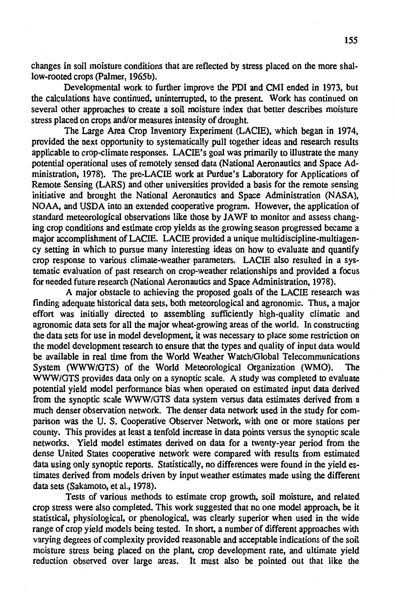changes in soil moisture conditions that are reflected by stress placed on the more shallow-rooted crops (Palmer, 1965b).

Developmental work to further improve the POI and CMI ended in 1973, but the calculations have continued, uninterrupted, to the present. Work has continued on several other approaches to create a soil moisture index that better describes moisture stress placed on crops and/or measures intensity of drought.

The Large Area Crop Inventory Experiment (LACIE), which began in 1974, provided the next opportunity to systematically pull together ideas and research results applicable to crop-climate responses. LACIE's goal was primarily to illustrate the many potential operational uses of remotely sensed data (National Aeronautics. and Space Administration, 1978). The pre-LACIE work at Purdue's Laboratory for Applications of Remote Sensing (LARS) and other universities provided a basis for the remote sensing initiative and brought the National Aeronautics and Space Administration (NASA), NOAA, and USDA into an extended cooperative program. However, the application of standard meteorological observations like those by JAWF to monitor and assess changing crop conditions and estimate crop yields as the growing season progressed became a major accomplishment of LACIE. LACIE provided a unique multidiscipline-multiagency setting in which to pursue many interesting ideas on how to evaluate and quantify crop response to various climate-weather parameters. LACIE also resulted in a systematic evaluation of past research on crop-weather relationships and provided a focus for needed future research (National Aeronautics and Space Administration, 1978).

A major obstacle to achieving the proposed goals of the LACIE research was finding adequate historical data sets, both meteorological and agronomic. Thus, a major effort was initially directed to assembling sufficiently high-quality climatic and agronomic data sets for all the major wheat-growing areas of the world. In constructing the data sets for use in model development, it was necessary to place some restriction on the model development research to ensure that the types and quality of input data would be available in real time from the World Weather Watch/Global Telecommunications System *CWWW/GTS)* of the World Meteorological Organization (WMO). The *WWW/GTS* provides data only on a synoptic scale. A study was completed to evaluate potential yield model performance bias when operated on estimated input data derived from the synoptic scale *WWW/GTS* data system versus data estimates derived from a much denser observation network. The denser data network used in the study for comparison was the U. S. Cooperative Observer Network, with one or more stations per county. This provides at least a tenfold increase in data points versus the synoptic scale networks. Yield model estimates derived on data for a twenty-year period from the dense United States cooperative network were compared with results from estimated data using only synoptic reports. Statistically, no differences were found in the yield estimates derived from models driven by input weather estimates made using the different data sets (Sakamoto, et aI., 1978).

Tests of various methods to estimate crop growth, soil moisture, and related crop stress were also completed. This work suggested that no one model approach, be it statistical, physiological, or phenological, was clearly superior when used in the wide range of crop yield models being tested. In short, a number of different approaches with varying degrees of complexity provided reasonable and acceptable indications of the soil moisture stress being placed on the plant, crop development rate, and ultimate yield reduction observed over large areas. It must also be pointed out that like the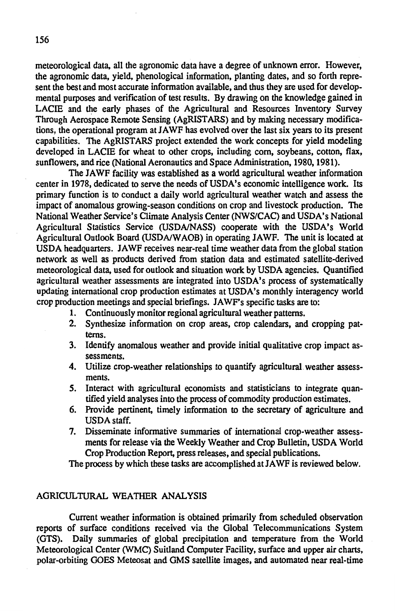meteorological data, all the agronomic data have a degree of unknown error. However, the agronomic data, yield, phenological information, planting dates, and so forth represent the best and most accurate information available, and thus they are used for developmental purposes and verification of test results. By drawing on the knowledge gained in LACIE and the early phases of the Agricultural and Resources Inventory Survey Through Aerospace Remote Sensing (AgRISTARS) and by making necessary modifications, the operational program at JAWF has evolved over the last six years to its present capabilities. The AgRISTARS project extended the work concepts for yield modeling developed in LACIE for wheat to other crops, including com, soybeans, cotton, flax, sunflowers, and rice (National Aeronautics and Space Administration, 1980, 1981).

The JAWF facility was established as a world agricultural weather information center in 1978, dedicated to serve the needs of USDA's economic intelligence work. Its primary function is to conduct a daily world agricultural weather watch and assess the impact of anomalous growing-season conditions on crop and livestock production. The National Weather Service's Climate Analysis Center (NWSICAC) and USDA's National Agricultural Statistics Service (USDNNASS) cooperate with the USDA's World Agricultural Outlook Board (USDNWAOB) in operating JAWF. The unit is located at USDA headquarters. JAWF receives near-real time weather data from the global station network as well as products derived from station data and estimated satellite-derived meteorological data, used for outlook and situation work by USDA agencies. Quantified agricultural weather assessments are integrated into USDA's process of systematically updating international crop production estimates at USDA's monthly interagency world crop production meetings and special briefings. JAWF's specific tasks are to:

- 1. Continuously monitor regional agricultural weather patterns.
- 2. Synthesize information on crop areas, crop calendars, and cropping patterns.
- 3. Identify anomalous weather and provide initial qualitative crop impact assessments.
- 4. Utilize crop-weather relationships to quantify agricultural. weather assessments.
- 5. Interact with agricultural economists and statisticians to integrate quantified yield analyses into the process of commodity production estimates.
- 6. Provide pertinent, timely information to the secretary of agriculture and USDA staff.
- 7. Disseminate informative summaries of international crop-weather assessments for release via the Weekly Weather and Crop Bulletin, USDA World Crop Production Report, press releases, and special publications.

The process by which these tasks are accomplished at JAWF is reviewed below.

## AGRICULTURAL WEATHER ANALYSIS

Current weather information is obtained primarily from scheduled observation reports of surface conditions received via the Global Telecommunications System (GTS). Daily summaries of global precipitation and temperature from the World Meteorological Center (WMC) Suitland Computer Facility, surface and upper air charts, polar-orbiting GOES Meteosat and GMS satellite images, and automated near real-time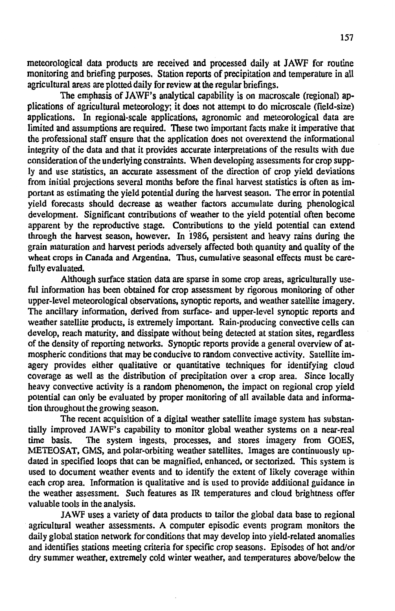meteorological data products are received and processed daily at JAWF for routine monitoring and briefing purposes. Station reports of precipitation and temperature in all agricultural areas are plotted daily for review at the regular briefings.

The emphasis of JAWF's analytical capability is on macroscale (regional) applications of agricultural meteorology; it does not attempt to do microscale (field-size) applications. In regional-scale applications, agronomic and meteorological data are limited and assumptions are required. These two important facts make it imperative that the professional staff ensure that the application does not overextend the informational integrity of the data and that it provides accurate interpretations of the results with due consideration of the underlying constraints. When developing assessments for crop supply and use statistics, an accurate assessment of the direction of crop yield deviations from initial projections several months before the final harvest statistics is often as important as estimating the yield potential during the harvest season. The error in potential yield forecasts should decrease as weather factors accumulate during phenological development. Significant contributions of weather to the yield potential often become apparent by the reproductive stage. Contributions to the yield potential can extend through the harvest season, however. In i986, persistent and heavy rains during the grain maturation and harvest periods adversely affected both quantity and quality of the wheat crops in Canada and Argentina. Thus, cumulative seasonal effects must be carefully evaluated

Although surface station data are sparse in some crop areas, agriculturally useful information has been obtained for crop assessment by rigorous monitoring of other upper-level meteorological observations, synoptic reports, and weather satellite imagery. The ancillary information, derived from surface- and upper-level synoptic reports and weather satellite products, is extremely important. Rain-producing convective cells can develop, reach maturity, and dissipate without being detected at station sites, regardless of the density of reporting networks. Synoptic reports provide a general overview of atmospheric conditions that may be conducive to random convective activity. Satellite imagery provides either qualitative or quantitative techniques for identifying cloud coverage as well as the distribution of precipitation over a crop area. Since locally heavy convective activity is a random phenomenon, the impact on regional crop yield potential can only be evaluated by proper monitoring of all available data and information throughout the growing season.

The recent acquisition of a digital weather satellite image system has substantially improved JAWF's capability to monitor global weather systems on a near-real<br>time basis. The system ingests, processes, and stores imagery from GOES. The system ingests, processes, and stores imagery from GOES, METEOSAT, GMS, and polar-orbiting weather satellites. Images are continuously updated in specified loops that can be magnified, enhanced, or sectorized. This system is used to document weather events and to identify the extent of likely coverage within each crop area. Information is qualitative and is used to provide additional guidance in the weather assessment. Such features as IR temperatures and cloud brightness offer valuable tools in the analysis.

JAWF uses a variety of data products to tailor the global data base to regional agricultural weather assessments. A computer episodic events program monitors the daily global station network for conditions that may develop into yield-related anomalies and identifies stations meeting criteria for specific crop seasons. Episodes of hot and/or dry summer weather, extremely cold winter weather, and temperatures above/below the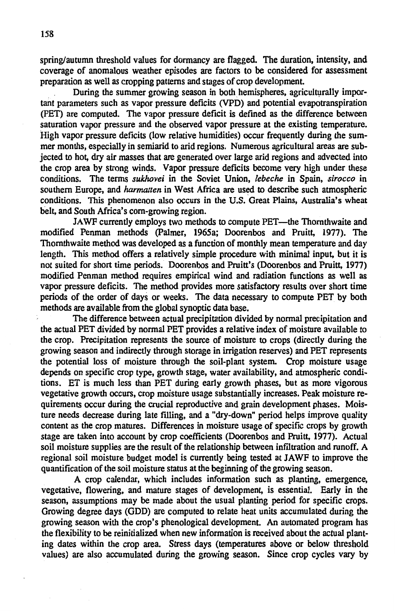spring/autumn threshold values for dormancy are flagged. The duration, intensity, and coverage of anomalous weather episodes are factors to be considered for assessment preparation as well as cropping patterns and stages of crop development

During the summer growing season in both hemispheres, agriculturally important parameters such as vapor pressure deficits (VPD) and potential evapotranspiration (PET) are computed. The vapor pressure deficit is defined as the difference between saturation vapor pressure and the observed vapor pressure at the existing temperature. High vapor pressure deficits (low relative humidities) occur frequently during the summer months, especially in semiarid to arid regions. Numerous agricultural areas are subjected to hot, dry air masses that are generated over large arid regions and advected into the crop area by strong winds. Vapor pressure deficits become very high under these conditions. The terms *sukhovei* in the Soviet Union, *lebeche* in Spain, *sirocco* in southern Europe, and *harmatten* in West Africa are used to describe such atmospheric conditions. This phenomenon also occurs in the U.S. Great Plains, Australia's wheat belt, and South Africa's corn-growing region.

JAWF currently employs two methods to compute PET-the Thornthwaite and modified Penman methods (palmer, 1965a; Doorenbos and Pruitt, 1977). The Thornthwaite method was developed as a function of monthly mean temperature and day length. This method offers a relatively simple procedure with minimal input, but it is not suited for short time periods. Doorenbos and Pruitt's (Doorenbos and Pruitt, 1977) modified Penman method requires empirical wind and radiation functions as well as vapor pressure deficits. The method provides more satisfactory results over short time periods of the order of days or weeks. The data necessary to compute PET by both methods are available from the global synoptic data base.

The difference between actual precipitation divided by normal precipitation and the actual PET divided by normal PET provides a relative index of moisture available to the crop. Precipitation represents the source of moisture to crops (directly during the growing season and indirectly through storage in irrigation reserves) and PET represents the potential loss of moisture through the soil-plant system. Crop moisture usage depends on specific crop type, growth stage, water availability, and atmospheric conditions. ET is much less than PET during early growth phases, but as more vigorous vegetative growth occurs, crop moisture usage substantially increases. Peak moisture requirements occur during the crucial reproductive and grain development phases. Moisture needs decrease during late filling, and a "dry-down" period helps improve quality content as the crop matures. Differences in moisture usage of specific crops by growth stage are taken into account by crop coefficients (Doorenbos and Pruitt, 1977). Actual soil moisture supplies are the result of the relationship between infiltration and runoff. A regional soil moisture budget model is currently being tested at JAWF to improve the quantification of the soil moisture status at the beginning of the growing season.

A crop calendar, which includes information such as planting, emergence, vegetative, flowering, and mature stages of development, is essential. Early in the season, assumptions may be made about the usual planting period for specific crops. Growing degree days (GDD) are computed to relate heat units accumulated during the growing season with the crop's phenological development. An automated program has the flexibility to be reinitialized when new information is received about the actual planting dates within the crop area. Stress days (temperatures above or below threshold values) are also accumulated during the growing season. Since crop cycles vary by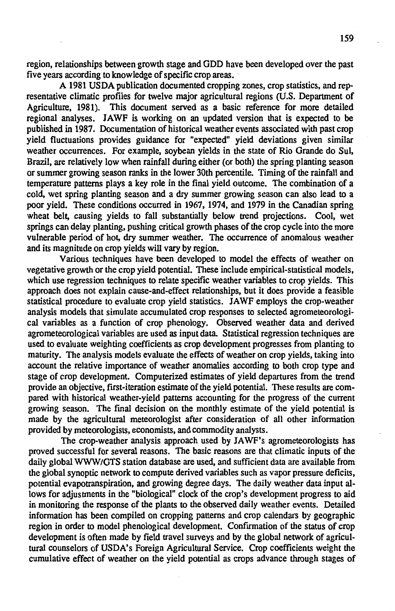region, relationships between growth stage and GDD have been developed over the past five years according to knowledge of specific crop areas.

A 1981 USDA publication documented cropping zones, crop statistics, and representative climatic profiles for twelve major agricultural regions (U.S. Department of Agriculture, 1981). This document served as a basic reference for more detailed regional analyses. JAWF is working on an updated version that is expected to be published in 1987. Documentation of historical weather events associated with past crop yield fluctuations provides guidance for "expected" yield deviations given similar weather occurrences. For example, soybean yields in the state of Rio Grande do SuI, Brazil, are relatively low when rainfall during either (or both) the spring planting season or summer growing season ranks in the lower 30th percentile. Timing of the rainfall and temperature patterns plays a key role in the final yield outcome. The combination of a cold, wet spring planting season and a dry summer growing season can also lead to a poor yield. These conditions occurred in 1967, 1974, and 1979 in the Canadian spring wheat belt, causing yields to fall substantially below ttend projections. Cool, wet springs can delay planting, pushing critical growth phases of the crop cycle into the more vulnerable period of hot, dry summer weather. The occurrence of anomalous weather and its magnitude on crop yields will vary by region.

Various techniques have been developed to model the effects of weather on vegetative growth or the crop yield potential. These include empirical-statistical models, which use regression techniques to relate specific weather variables to crop yields. This approach does not explain cause-and-effect relationships, but it does provide a feasible statistical procedure to evaluate crop yield statistics. JAWF employs the crop-weather analysis models that simulate accumulated crop responses to selected agrometeorological variables as a function of crop phenology. Observed weather data and derived agrometeorological variables are used as input data. Statistical regression techniques are used to evaluate weighting coefficients as crop development progresses from planting to maturity. The analysis models evaluate the effects of weather on crop yields, taking into account the relative importance of weather anomalies according to both crop type and stage of crop development. Computerized estimates of yield departures from the trend provide an objective, first-iteration estimate of the yield potential. These results are compared with historical weather-yield patterns accounting for the progress of the current growing season. The fmal decision on the monthly estimate of the yield potential is made by the agricultural meteorologist after consideration of all other information provided by meteorologists, economists, and commodity analysts.

The crop-weather analysis approach used by JAWF's agrometeorologists has proved successful for several reasons. The basic reasons are that climatic inputs of the daily global WWW/GTS station database are used, and sufficient data are available from the global synoptic network to compute derived variables such as vapor pressure deficits, potential evapotranspiration, and growing degree days. The daily weather data input allows for adjustments in the "biological" clock of the crop's development progress to aid in monitoring the response of the plants to the observed daily weather events. Detailed information has been compiled on cropping patterns and crop calendars by geographic region in order to model phenological development. Confirmation of the status of crop development is often made by field travel surveys and by the global network of agricultural counselors of USDA's Foreign Agricultural Service. Crop coefficients weight the cumulative effect of weather on the yield potential as crops advance through stages of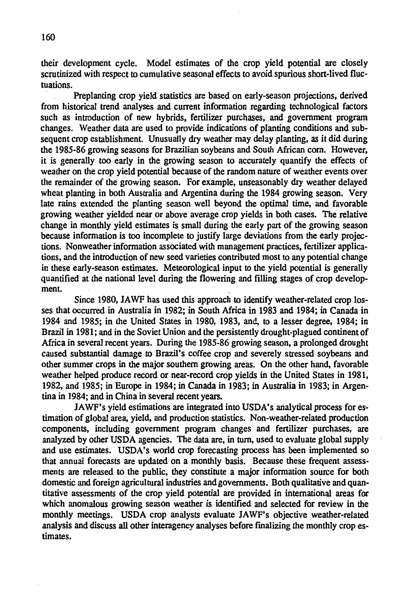their development cycle. Model estimates of the crop yield potential are closely scrutinized with respect to cumulative seasonal effects to avoid spurious short-lived fluctuations.

Preplanting crop yield statistics are based on early-season projections, derived from historical trend analyses and current information regarding technological factors such as introduction of new hybrids, fertilizer purchases, and government program changes. Weather data are used to provide indications of planting conditions and subsequent crop establishment. Unusually dry weather may delay planting, as it did during the 1985-86 growing seasons for Brazilian soybeans and South African corn. However, it is generally too early in the growing season to accurately quantify the effects of weather on the crop yield potential because of the random nature of weather events over the remainder of the growing season. For example, unseasonably dry weather delayed wheat planting in both Australia and Argentina during the 1984 growing season. Very late rains extended the planting season well beyond the optimal time, and favorable growing weather yielded near or above average crop yields in both cases. The relative change in monthly yield estimates is small during the early part of the growing season because information is too incomplete to justify large deviations from the early projections. Nonweather information associated with management practices, fertilizer applications, and the introduction of new seed varieties contributed most to any potential change in these early-season estimates. Meteorological input to the yield potential is generally quantified at the national level during the flowering and filling stages of crop development.

Since 1980, JAWF has used this approach to identify weather-related crop losses that occurred in Australia in 1982; in South Africa in 1983 and 1984; in Canada in 1984 and 1985; in the United States in 1980, 1983, and, to a lesser degree, 1984; in Brazil in 1981; and in the Soviet Union and the persistently drought-plagued continent of Africa in several recent years. During the 1985-86 growing season, a prolonged drought caused substantial damage to Brazil's coffee crop and severely stressed soybeans and other summer crops in the major southern growing areas. On the other hand, favorable weather helped produce record or near-record crop yields in the United States in 1981, 1982, and 1985; in Europe in 1984; in Canada in 1983; in Australia in 1983; in Argentina in 1984; and in China in several recent years.

JAWF's yield estimations are integrated into USDA's analytical process for estimation of global area, yield, and production statistics. Non-weather-related production components, including government program changes and fertilizer purchases, are analyzed by other USDA agencies. The data are, in turn, used to evaluate global supply and use estimates. USDA's world crop forecasting process has been implemented so that annual forecasts are updated on a monthly basis. Because these frequent assessments are released to the public, they constitute a major information source for both domestic and foreign agricultural industries and governments. Both qualitative and quantitative assessments of the crop yield potential are provided in international areas for which anomalous growing season weather is identified and selected for review in the monthly meetings. USDA crop analysts evaluate JAWF's objective weather-related analysis and discuss all other interagency analyses before finalizing the monthly crop estimates.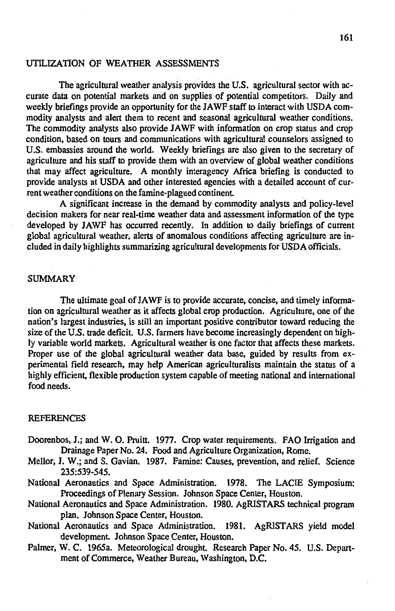#### UTILIZATION OF WEATHER ASSESSMENTS

The agricultural weather analysis provides the U.S. agricultural sector with accurate data on potential markets and on supplies of potential competitors. Daily and weekly briefings provide an opportunity for the JAWF staff to interact with USDA commodity analysts and alert them to recent and seasonal agricultural weather conditions. The commodity analysts also provide JAWF with information on crop status and crop condition, based on tours and communications with agricultural counselors assigned to U.S. embassies around the world. Weekly briefings are also given to the secretary of agriculture and his staff to provide them with an overview of global weather conditions that may affect agriculture. A monthly interagency Mrica briefing is conducted to provide analysts at USDA and other interested agencies with a detailed account of current weather conditions on the famine-plagued continent

A significant increase in the demand by commodity analysts and policy-level decision makers for near real-time weather data and assessment information of the type developed by JAWF has occurred recently. In addition to daily briefings of current global agricultural weather, alerts of anomalous conditions affecting agriculture are included in daily highlights summarizing agricultural developments for USDA officials.

### SUMMARY

The ultimate goal of JAWF is to provide accurate, concise, and timely information on agricultural weather as it affects global crop production. Agriculture, one of the nation's largest industries, is still an important positive contributor toward reducing the size of the U.S. trade deficit. U.S. farmers have become increasingly dependent on highly variable world markets. Agricultural weather is one factor that affects these markets. Proper use of the global agricultural weather data base, guided by results from experimental field research, may help American agriculturalists maintain the status of a highly efficient, flexible production system capable of meeting national and international food needs.

#### **REFERENCES**

- Doorenbos, J.; and W. O. Pruitt. 1977. Crop water requirements. FAO Irrigation and Drainage Paper No. 24. Food and Agriculture Organization, Rome.
- Mellor, J. W.; and S. Gavian. 1987. Famine: Causes, prevention, and relief. Science 235:539-545.
- National Aeronautics and Space Administration. 1978. The LACIE Symposium: Proceedings of Plenary Session. Johnson Space Center, Houston.
- National Aeronautics and Space Administration. 1980. AgRISTARS technical program plan. Johnson Space Center, Houston.
- National Aeronautics and Space Administration. 1981. AgRISTARS yield model development. Johnson Space Center, Houston.
- Palmer, W. C. 1965a. Meteorological drought. Research Paper No. 45. U.S. Department of Commerce, Weather Bureau, Washington, D.C.